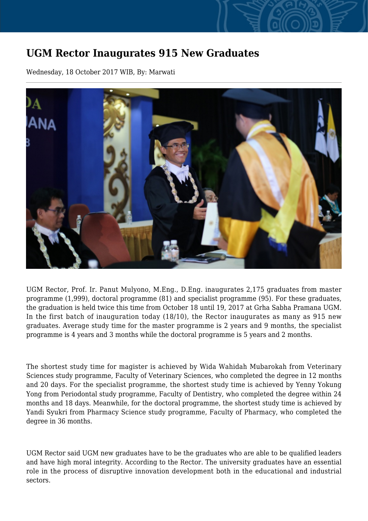## **UGM Rector Inaugurates 915 New Graduates**

Wednesday, 18 October 2017 WIB, By: Marwati



UGM Rector, Prof. Ir. Panut Mulyono, M.Eng., D.Eng. inaugurates 2,175 graduates from master programme (1,999), doctoral programme (81) and specialist programme (95). For these graduates, the graduation is held twice this time from October 18 until 19, 2017 at Grha Sabha Pramana UGM. In the first batch of inauguration today (18/10), the Rector inaugurates as many as 915 new graduates. Average study time for the master programme is 2 years and 9 months, the specialist programme is 4 years and 3 months while the doctoral programme is 5 years and 2 months.

The shortest study time for magister is achieved by Wida Wahidah Mubarokah from Veterinary Sciences study programme, Faculty of Veterinary Sciences, who completed the degree in 12 months and 20 days. For the specialist programme, the shortest study time is achieved by Yenny Yokung Yong from Periodontal study programme, Faculty of Dentistry, who completed the degree within 24 months and 18 days. Meanwhile, for the doctoral programme, the shortest study time is achieved by Yandi Syukri from Pharmacy Science study programme, Faculty of Pharmacy, who completed the degree in 36 months.

UGM Rector said UGM new graduates have to be the graduates who are able to be qualified leaders and have high moral integrity. According to the Rector. The university graduates have an essential role in the process of disruptive innovation development both in the educational and industrial sectors.